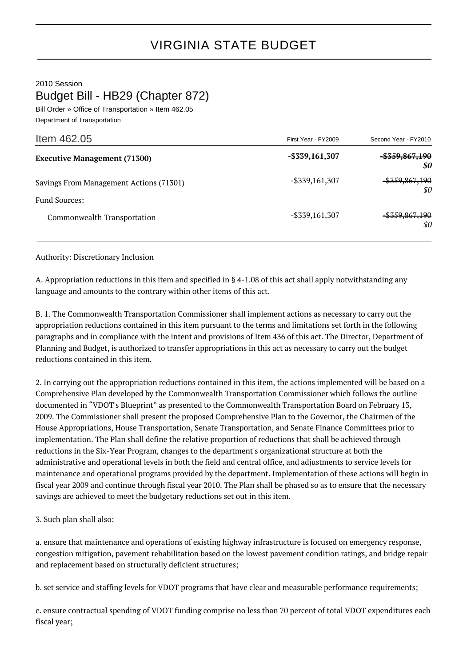2010 Session Budget Bill - HB29 (Chapter 872)

Bill Order » Office of Transportation » Item 462.05 Department of Transportation

| First Year - FY2009 | Second Year - FY2010             |
|---------------------|----------------------------------|
| $-$ \$339,161,307   | <del>\$359,867,190</del><br>\$0  |
| $-$ \$339,161,307   | <del>\$359,867,190</del><br>\$0  |
|                     |                                  |
| $-$ \$339,161,307   | <del>-\$359,867,190</del><br>\$0 |
|                     |                                  |

Authority: Discretionary Inclusion

A. Appropriation reductions in this item and specified in § 4-1.08 of this act shall apply notwithstanding any language and amounts to the contrary within other items of this act.

B. 1. The Commonwealth Transportation Commissioner shall implement actions as necessary to carry out the appropriation reductions contained in this item pursuant to the terms and limitations set forth in the following paragraphs and in compliance with the intent and provisions of Item 436 of this act. The Director, Department of Planning and Budget, is authorized to transfer appropriations in this act as necessary to carry out the budget reductions contained in this item.

2. In carrying out the appropriation reductions contained in this item, the actions implemented will be based on a Comprehensive Plan developed by the Commonwealth Transportation Commissioner which follows the outline documented in "VDOT's Blueprint" as presented to the Commonwealth Transportation Board on February 13, 2009. The Commissioner shall present the proposed Comprehensive Plan to the Governor, the Chairmen of the House Appropriations, House Transportation, Senate Transportation, and Senate Finance Committees prior to implementation. The Plan shall define the relative proportion of reductions that shall be achieved through reductions in the Six-Year Program, changes to the department's organizational structure at both the administrative and operational levels in both the field and central office, and adjustments to service levels for maintenance and operational programs provided by the department. Implementation of these actions will begin in fiscal year 2009 and continue through fiscal year 2010. The Plan shall be phased so as to ensure that the necessary savings are achieved to meet the budgetary reductions set out in this item.

3. Such plan shall also:

a. ensure that maintenance and operations of existing highway infrastructure is focused on emergency response, congestion mitigation, pavement rehabilitation based on the lowest pavement condition ratings, and bridge repair and replacement based on structurally deficient structures;

b. set service and staffing levels for VDOT programs that have clear and measurable performance requirements;

c. ensure contractual spending of VDOT funding comprise no less than 70 percent of total VDOT expenditures each fiscal year;